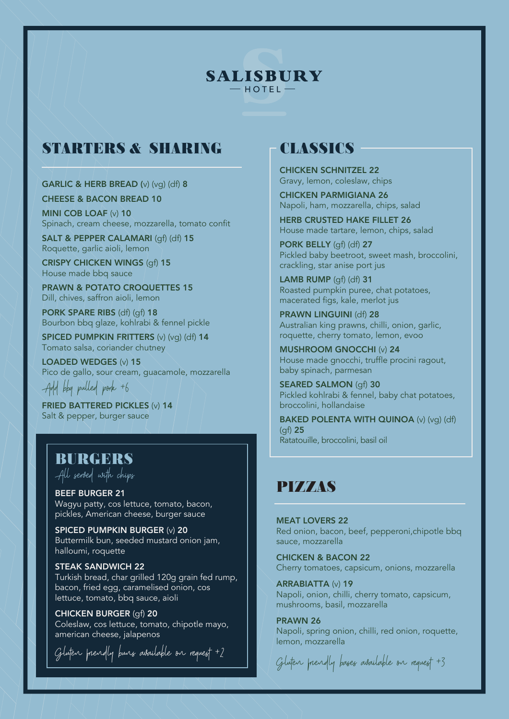#### **SALISBURY**  $-$  HOTEL  $-$

# **STARTERS & SHARING**

GARLIC & HERB BREAD (v) (vg) (df) 8

CHEESE & BACON BREAD 10

MINI COB LOAF (v) 10 Spinach, cream cheese, mozzarella, tomato confit

SALT & PEPPER CALAMARI (gf) (df) 15 Roquette, garlic aioli, lemon

CRISPY CHICKEN WINGS (af) 15 House made bbq sauce

PRAWN & POTATO CROQUETTES 15 Dill, chives, saffron aioli, lemon

PORK SPARE RIBS (df) (gf) 18 Bourbon bbq glaze, kohlrabi & fennel pickle

SPICED PUMPKIN FRITTERS (v) (vq) (df) 14 Tomato salsa, coriander chutney

LOADED WEDGES (v) 15 Pico de gallo, sour cream, guacamole, mozzarella Add bbq pulled pork +6

FRIED BATTERED PICKLES (v) 14 Salt & pepper, burger sauce

#### **BURGERS**

All served with chips

BEEF BURGER 21 Wagyu patty, cos lettuce, tomato, bacon, pickles, American cheese, burger sauce

SPICED PUMPKIN BURGER (v) 20 Buttermilk bun, seeded mustard onion jam, halloumi, roquette

STEAK SANDWICH 22 Turkish bread, char grilled 120g grain fed rump, bacon, fried egg, caramelised onion, cos lettuce, tomato, bbq sauce, aioli

CHICKEN BURGER (gf) 20 Coleslaw, cos lettuce, tomato, chipotle mayo, american cheese, jalapenos

Gluten friendly buns available on request +2

### **CLASSICS**

CHICKEN SCHNITZEL 22 Gravy, lemon, coleslaw, chips

CHICKEN PARMIGIANA 26 Napoli, ham, mozzarella, chips, salad

HERB CRUSTED HAKE FILLET 26 House made tartare, lemon, chips, salad

PORK BELLY (qf) (df) 27 Pickled baby beetroot, sweet mash, broccolini, crackling, star anise port jus

LAMB RUMP (qf) (df) 31 Roasted pumpkin puree, chat potatoes, macerated figs, kale, merlot jus

PRAWN LINGUINI (df) 28 Australian king prawns, chilli, onion, garlic, roquette, cherry tomato, lemon, evoo

MUSHROOM GNOCCHI (v) 24 House made gnocchi, truffle procini ragout, baby spinach, parmesan

SEARED SALMON (gf) 30 Pickled kohlrabi & fennel, baby chat potatoes, broccolini, hollandaise

BAKED POLENTA WITH QUINOA (v) (vg) (df)  $(af)$  25 Ratatouille, broccolini, basil oil

## **PIZZAS**

**MEAT LOVERS 22** Red onion, bacon, beef, pepperoni,chipotle bbq sauce, mozzarella

CHICKEN & BACON 22 Cherry tomatoes, capsicum, onions, mozzarella

ARRABIATTA (v) 19 Napoli, onion, chilli, cherry tomato, capsicum, mushrooms, basil, mozzarella

PRAWN 26 Napoli, spring onion, chilli, red onion, roquette, lemon, mozzarella

Gluten friendly bases available on request +3